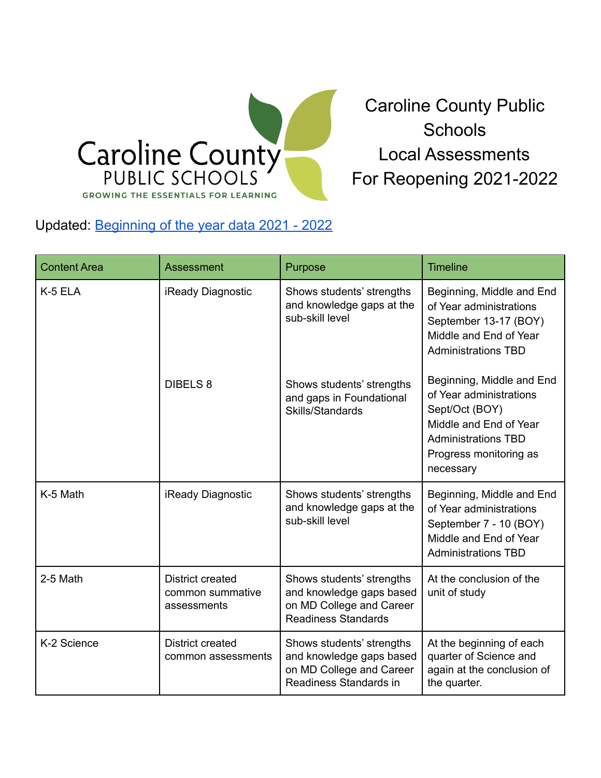

Caroline County Public **Schools** Local Assessments For Reopening 2021-2022

## Updated: [Beginning](https://www.carolineschools.org/wp-content/uploads/2022/03/2022-2-CCPS-BOY-Data-21-22.pdf) of the year data 2021 - 2022

| <b>Content Area</b> | Assessment                                          | Purpose                                                                                                         | <b>Timeline</b>                                                                                                                                                       |
|---------------------|-----------------------------------------------------|-----------------------------------------------------------------------------------------------------------------|-----------------------------------------------------------------------------------------------------------------------------------------------------------------------|
| K-5 ELA             | iReady Diagnostic                                   | Shows students' strengths<br>and knowledge gaps at the<br>sub-skill level                                       | Beginning, Middle and End<br>of Year administrations<br>September 13-17 (BOY)<br>Middle and End of Year<br><b>Administrations TBD</b>                                 |
|                     | <b>DIBELS 8</b>                                     | Shows students' strengths<br>and gaps in Foundational<br>Skills/Standards                                       | Beginning, Middle and End<br>of Year administrations<br>Sept/Oct (BOY)<br>Middle and End of Year<br><b>Administrations TBD</b><br>Progress monitoring as<br>necessary |
| K-5 Math            | iReady Diagnostic                                   | Shows students' strengths<br>and knowledge gaps at the<br>sub-skill level                                       | Beginning, Middle and End<br>of Year administrations<br>September 7 - 10 (BOY)<br>Middle and End of Year<br><b>Administrations TBD</b>                                |
| 2-5 Math            | District created<br>common summative<br>assessments | Shows students' strengths<br>and knowledge gaps based<br>on MD College and Career<br><b>Readiness Standards</b> | At the conclusion of the<br>unit of study                                                                                                                             |
| K-2 Science         | <b>District created</b><br>common assessments       | Shows students' strengths<br>and knowledge gaps based<br>on MD College and Career<br>Readiness Standards in     | At the beginning of each<br>quarter of Science and<br>again at the conclusion of<br>the quarter.                                                                      |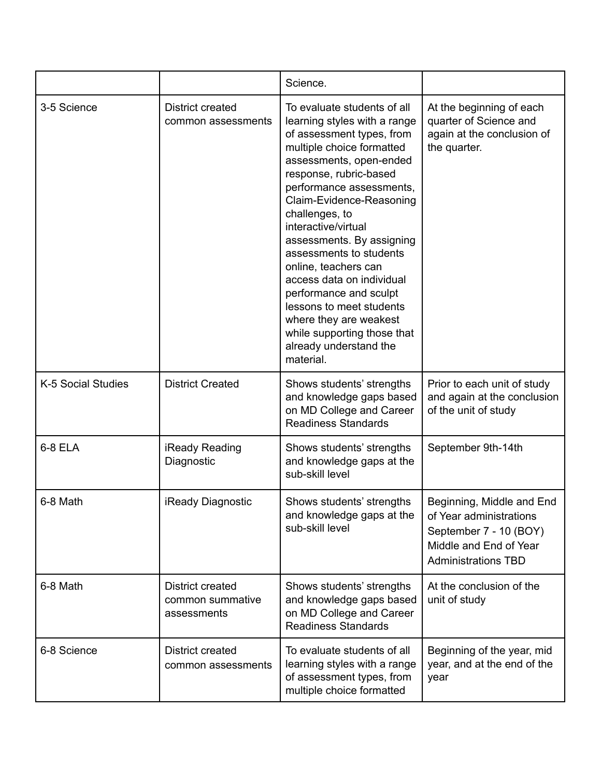|                    |                                                     | Science.                                                                                                                                                                                                                                                                                                                                                                                                                                                                                                                                       |                                                                                                                                        |
|--------------------|-----------------------------------------------------|------------------------------------------------------------------------------------------------------------------------------------------------------------------------------------------------------------------------------------------------------------------------------------------------------------------------------------------------------------------------------------------------------------------------------------------------------------------------------------------------------------------------------------------------|----------------------------------------------------------------------------------------------------------------------------------------|
| 3-5 Science        | District created<br>common assessments              | To evaluate students of all<br>learning styles with a range<br>of assessment types, from<br>multiple choice formatted<br>assessments, open-ended<br>response, rubric-based<br>performance assessments,<br>Claim-Evidence-Reasoning<br>challenges, to<br>interactive/virtual<br>assessments. By assigning<br>assessments to students<br>online, teachers can<br>access data on individual<br>performance and sculpt<br>lessons to meet students<br>where they are weakest<br>while supporting those that<br>already understand the<br>material. | At the beginning of each<br>quarter of Science and<br>again at the conclusion of<br>the quarter.                                       |
| K-5 Social Studies | <b>District Created</b>                             | Shows students' strengths<br>and knowledge gaps based<br>on MD College and Career<br><b>Readiness Standards</b>                                                                                                                                                                                                                                                                                                                                                                                                                                | Prior to each unit of study<br>and again at the conclusion<br>of the unit of study                                                     |
| 6-8 ELA            | iReady Reading<br>Diagnostic                        | Shows students' strengths<br>and knowledge gaps at the<br>sub-skill level                                                                                                                                                                                                                                                                                                                                                                                                                                                                      | September 9th-14th                                                                                                                     |
| 6-8 Math           | <b>iReady Diagnostic</b>                            | Shows students' strengths<br>and knowledge gaps at the<br>sub-skill level                                                                                                                                                                                                                                                                                                                                                                                                                                                                      | Beginning, Middle and End<br>of Year administrations<br>September 7 - 10 (BOY)<br>Middle and End of Year<br><b>Administrations TBD</b> |
| 6-8 Math           | District created<br>common summative<br>assessments | Shows students' strengths<br>and knowledge gaps based<br>on MD College and Career<br><b>Readiness Standards</b>                                                                                                                                                                                                                                                                                                                                                                                                                                | At the conclusion of the<br>unit of study                                                                                              |
| 6-8 Science        | <b>District created</b><br>common assessments       | To evaluate students of all<br>learning styles with a range<br>of assessment types, from<br>multiple choice formatted                                                                                                                                                                                                                                                                                                                                                                                                                          | Beginning of the year, mid<br>year, and at the end of the<br>year                                                                      |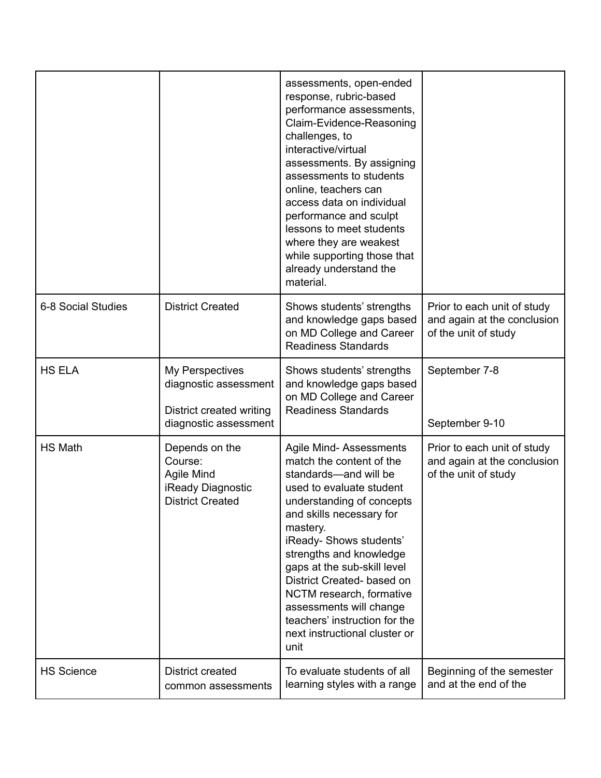|                    |                                                                                               | assessments, open-ended<br>response, rubric-based<br>performance assessments,<br>Claim-Evidence-Reasoning<br>challenges, to<br>interactive/virtual<br>assessments. By assigning<br>assessments to students<br>online, teachers can<br>access data on individual<br>performance and sculpt<br>lessons to meet students<br>where they are weakest<br>while supporting those that<br>already understand the<br>material.            |                                                                                    |
|--------------------|-----------------------------------------------------------------------------------------------|----------------------------------------------------------------------------------------------------------------------------------------------------------------------------------------------------------------------------------------------------------------------------------------------------------------------------------------------------------------------------------------------------------------------------------|------------------------------------------------------------------------------------|
| 6-8 Social Studies | <b>District Created</b>                                                                       | Shows students' strengths<br>and knowledge gaps based<br>on MD College and Career<br><b>Readiness Standards</b>                                                                                                                                                                                                                                                                                                                  | Prior to each unit of study<br>and again at the conclusion<br>of the unit of study |
| <b>HS ELA</b>      | My Perspectives<br>diagnostic assessment<br>District created writing<br>diagnostic assessment | Shows students' strengths<br>and knowledge gaps based<br>on MD College and Career<br><b>Readiness Standards</b>                                                                                                                                                                                                                                                                                                                  | September 7-8<br>September 9-10                                                    |
| <b>HS Math</b>     | Depends on the<br>Course:<br>Agile Mind<br>iReady Diagnostic<br><b>District Created</b>       | Agile Mind-Assessments<br>match the content of the<br>standards-and will be<br>used to evaluate student<br>understanding of concepts<br>and skills necessary for<br>mastery.<br>iReady- Shows students'<br>strengths and knowledge<br>gaps at the sub-skill level<br>District Created- based on<br>NCTM research, formative<br>assessments will change<br>teachers' instruction for the<br>next instructional cluster or<br>unit | Prior to each unit of study<br>and again at the conclusion<br>of the unit of study |
| <b>HS Science</b>  | District created<br>common assessments                                                        | To evaluate students of all<br>learning styles with a range                                                                                                                                                                                                                                                                                                                                                                      | Beginning of the semester<br>and at the end of the                                 |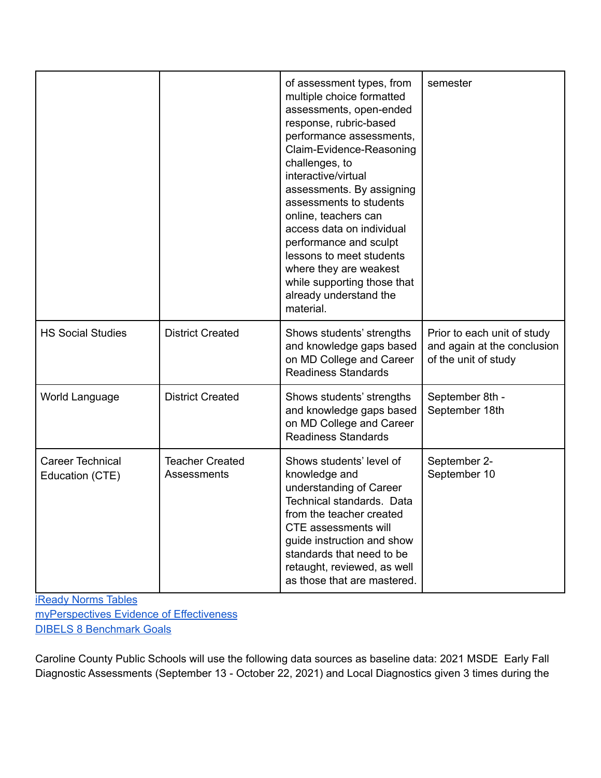|                                     |                                       | of assessment types, from<br>multiple choice formatted<br>assessments, open-ended<br>response, rubric-based<br>performance assessments,<br>Claim-Evidence-Reasoning<br>challenges, to<br>interactive/virtual<br>assessments. By assigning<br>assessments to students<br>online, teachers can<br>access data on individual<br>performance and sculpt<br>lessons to meet students<br>where they are weakest<br>while supporting those that<br>already understand the<br>material. | semester                                                                           |
|-------------------------------------|---------------------------------------|---------------------------------------------------------------------------------------------------------------------------------------------------------------------------------------------------------------------------------------------------------------------------------------------------------------------------------------------------------------------------------------------------------------------------------------------------------------------------------|------------------------------------------------------------------------------------|
| <b>HS Social Studies</b>            | <b>District Created</b>               | Shows students' strengths<br>and knowledge gaps based<br>on MD College and Career<br><b>Readiness Standards</b>                                                                                                                                                                                                                                                                                                                                                                 | Prior to each unit of study<br>and again at the conclusion<br>of the unit of study |
| World Language                      | <b>District Created</b>               | Shows students' strengths<br>and knowledge gaps based<br>on MD College and Career<br><b>Readiness Standards</b>                                                                                                                                                                                                                                                                                                                                                                 | September 8th -<br>September 18th                                                  |
| Career Technical<br>Education (CTE) | <b>Teacher Created</b><br>Assessments | Shows students' level of<br>knowledge and<br>understanding of Career<br>Technical standards. Data<br>from the teacher created<br><b>CTE</b> assessments will<br>guide instruction and show<br>standards that need to be<br>retaught, reviewed, as well<br>as those that are mastered.                                                                                                                                                                                           | September 2-<br>September 10                                                       |

[iReady](https://drive.google.com/file/d/1C3cVFK3kSa0B_VlEieZngsFxxnNysnFc/view?usp=sharing) Norms Tables [myPerspectives](https://drive.google.com/file/d/1krok6oYNoP9yPMjo9CQNDGZXFMOxRJl2/view?usp=sharing) Evidence of Effectiveness DIBELS 8 [Benchmark](https://drive.google.com/file/d/1VozS9ZNccClK4sJvIuCPzUPxrbeOQTQj/view?usp=sharing) Goals

Caroline County Public Schools will use the following data sources as baseline data: 2021 MSDE Early Fall Diagnostic Assessments (September 13 - October 22, 2021) and Local Diagnostics given 3 times during the